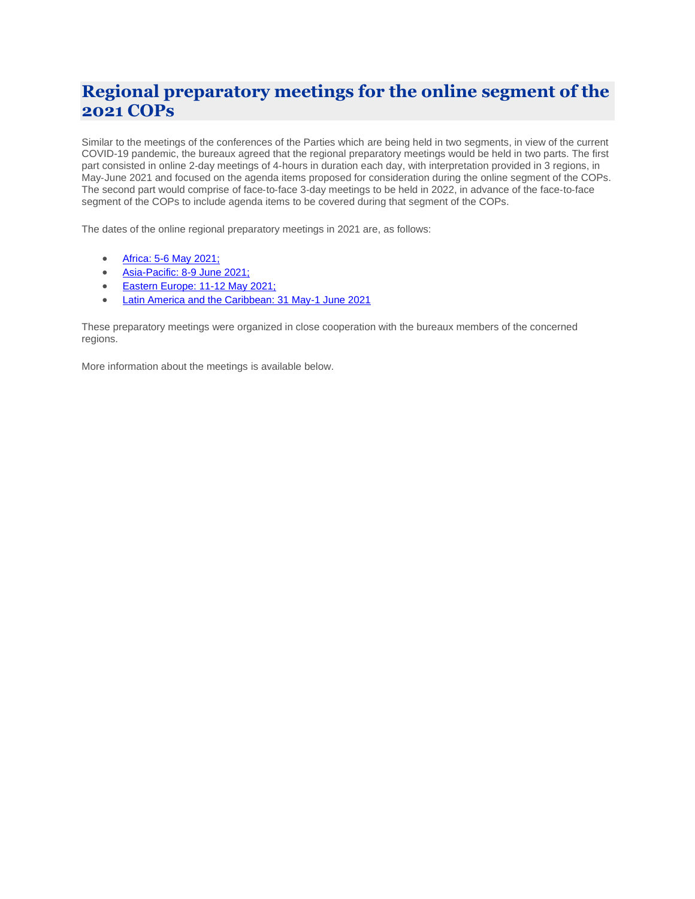# **Regional preparatory meetings for the online segment of the 2021 COPs**

Similar to the meetings of the conferences of the Parties which are being held in two segments, in view of the current COVID-19 pandemic, the bureaux agreed that the regional preparatory meetings would be held in two parts. The first part consisted in online 2‐day meetings of 4‐hours in duration each day, with interpretation provided in 3 regions, in May‐June 2021 and focused on the agenda items proposed for consideration during the online segment of the COPs. The second part would comprise of face‐to‐face 3‐day meetings to be held in 2022, in advance of the face‐to‐face segment of the COPs to include agenda items to be covered during that segment of the COPs.

The dates of the online regional preparatory meetings in 2021 are, as follows:

- [Africa: 5-6 May 2021;](#page-1-0)
- [Asia-Pacific: 8-9 June 2021;](#page-2-0)
- [Eastern Europe: 11-12 May 2021;](#page-3-0)
- [Latin America and the Caribbean: 31 May-1 June 2021](#page-4-0)

These preparatory meetings were organized in close cooperation with the bureaux members of the concerned regions.

More information about the meetings is available below.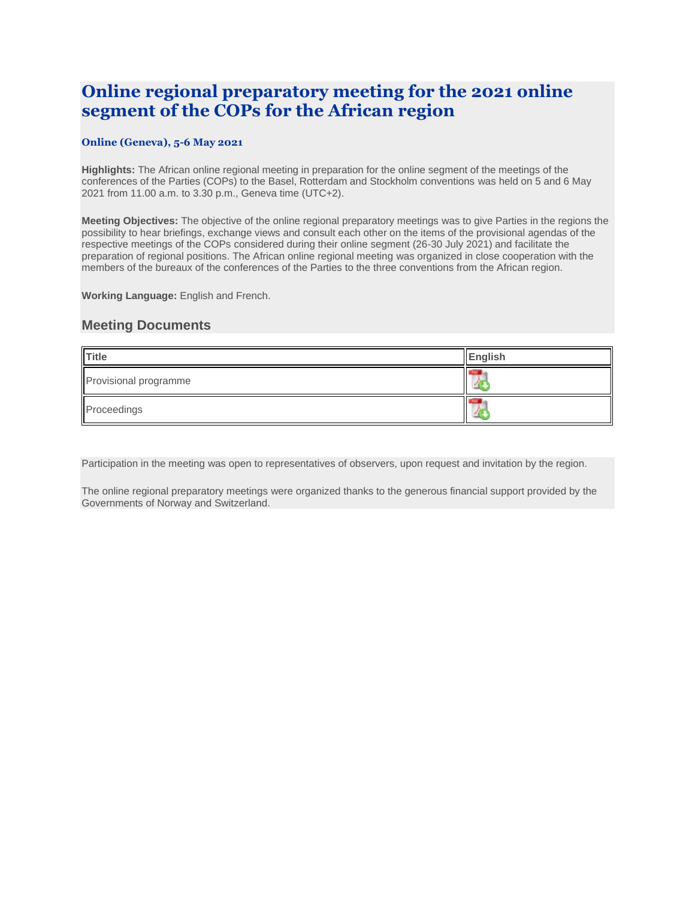## <span id="page-1-0"></span>**Online regional preparatory meeting for the 2021 online segment of the COPs for the African region**

### **Online (Geneva), 5-6 May 2021**

**Highlights:** The African online regional meeting in preparation for the online segment of the meetings of the conferences of the Parties (COPs) to the Basel, Rotterdam and Stockholm conventions was held on 5 and 6 May 2021 from 11.00 a.m. to 3.30 p.m., Geneva time (UTC+2).

**Meeting Objectives:** The objective of the online regional preparatory meetings was to give Parties in the regions the possibility to hear briefings, exchange views and consult each other on the items of the provisional agendas of the respective meetings of the COPs considered during their online segment (26-30 July 2021) and facilitate the preparation of regional positions. The African online regional meeting was organized in close cooperation with the members of the bureaux of the conferences of the Parties to the three conventions from the African region.

**Working Language:** English and French.

### **Meeting Documents**

| <b>Title</b>          | English |
|-----------------------|---------|
| Provisional programme |         |
| Proceedings           |         |

Participation in the meeting was open to representatives of observers, upon request and invitation by the region.

The online regional preparatory meetings were organized thanks to the generous financial support provided by the Governments of Norway and Switzerland.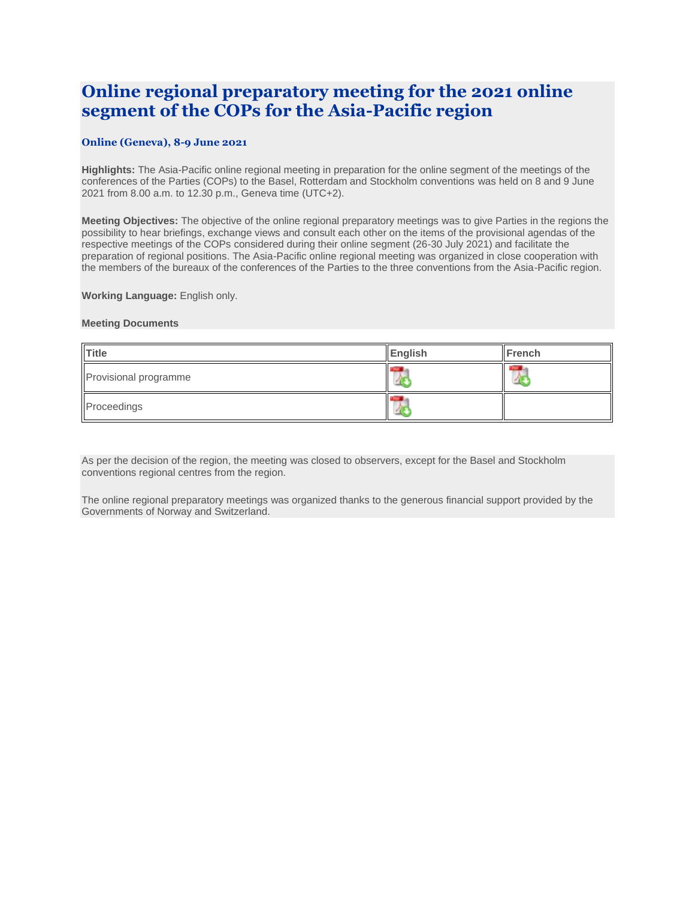## <span id="page-2-0"></span>**Online regional preparatory meeting for the 2021 online segment of the COPs for the Asia-Pacific region**

### **Online (Geneva), 8-9 June 2021**

**Highlights:** The Asia-Pacific online regional meeting in preparation for the online segment of the meetings of the conferences of the Parties (COPs) to the Basel, Rotterdam and Stockholm conventions was held on 8 and 9 June 2021 from 8.00 a.m. to 12.30 p.m., Geneva time (UTC+2).

**Meeting Objectives:** The objective of the online regional preparatory meetings was to give Parties in the regions the possibility to hear briefings, exchange views and consult each other on the items of the provisional agendas of the respective meetings of the COPs considered during their online segment (26-30 July 2021) and facilitate the preparation of regional positions. The Asia-Pacific online regional meeting was organized in close cooperation with the members of the bureaux of the conferences of the Parties to the three conventions from the Asia-Pacific region.

**Working Language:** English only.

#### **Meeting Documents**

| <b>Title</b>          | English | French |
|-----------------------|---------|--------|
| Provisional programme |         |        |
| Proceedings           |         |        |

As per the decision of the region, the meeting was closed to observers, except for the Basel and Stockholm conventions regional centres from the region.

The online regional preparatory meetings was organized thanks to the generous financial support provided by the Governments of Norway and Switzerland.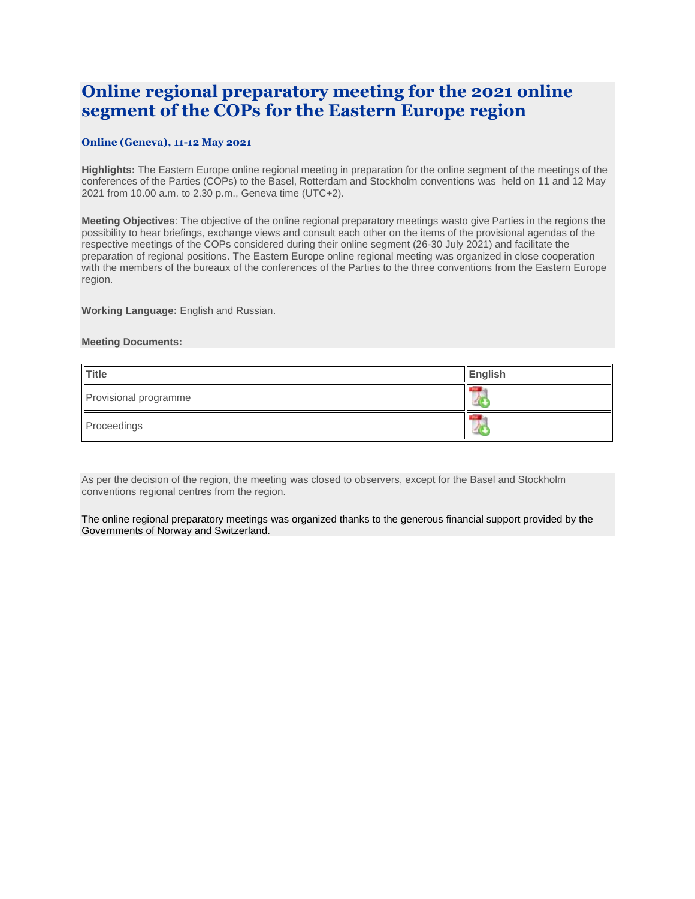## <span id="page-3-0"></span>**Online regional preparatory meeting for the 2021 online segment of the COPs for the Eastern Europe region**

### **Online (Geneva), 11-12 May 2021**

**Highlights:** The Eastern Europe online regional meeting in preparation for the online segment of the meetings of the conferences of the Parties (COPs) to the Basel, Rotterdam and Stockholm conventions was held on 11 and 12 May 2021 from 10.00 a.m. to 2.30 p.m., Geneva time (UTC+2).

**Meeting Objectives**: The objective of the online regional preparatory meetings wasto give Parties in the regions the possibility to hear briefings, exchange views and consult each other on the items of the provisional agendas of the respective meetings of the COPs considered during their online segment (26-30 July 2021) and facilitate the preparation of regional positions. The Eastern Europe online regional meeting was organized in close cooperation with the members of the bureaux of the conferences of the Parties to the three conventions from the Eastern Europe region.

**Working Language:** English and Russian.

#### **Meeting Documents:**

| <b>Title</b>          | English |
|-----------------------|---------|
| Provisional programme |         |
| Proceedings           |         |

As per the decision of the region, the meeting was closed to observers, except for the Basel and Stockholm conventions regional centres from the region.

The online regional preparatory meetings was organized thanks to the generous financial support provided by the Governments of Norway and Switzerland.